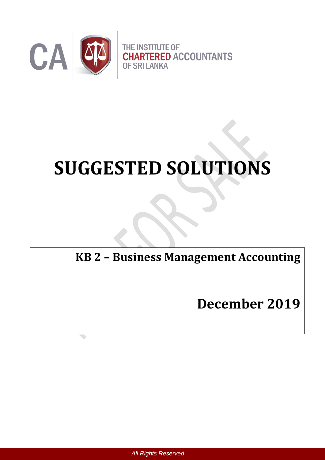

# **SUGGESTED SOLUTIONS**

**KB 2 – Business Management Accounting**

**December 2019**

 *All Rights Reserved*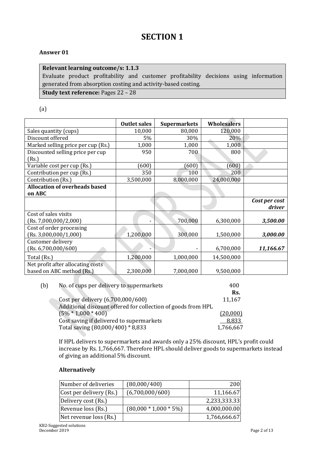# **SECTION 1**

#### **Answer 01**

#### **Relevant learning outcome/s: 1.1.3**

Evaluate product profitability and customer profitability decisions using information generated from absorption costing and activity-based costing.

**Study text reference:** Pages 22 – 28

(a)

|                                      | <b>Outlet sales</b> | <b>Supermarkets</b> | <b>Wholesalers</b> |                         |
|--------------------------------------|---------------------|---------------------|--------------------|-------------------------|
| Sales quantity (cups)                | 10,000              | 80,000              | 120,000            |                         |
| Discount offered                     | 5%                  | 30%                 | 20%                |                         |
| Marked selling price per cup (Rs.)   | 1,000               | 1,000               | 1,000              |                         |
| Discounted selling price per cup     | 950                 | 700                 | 800                |                         |
| (Rs.)                                |                     |                     |                    |                         |
| Variable cost per cup (Rs.)          | (600)               | (600)               | (600)              |                         |
| Contribution per cup (Rs.)           | 350                 | 100                 | 200                |                         |
| Contribution (Rs.)                   | 3,500,000           | 8,000,000           | 24,000,000         |                         |
| <b>Allocation of overheads based</b> |                     |                     |                    |                         |
| on ABC                               |                     |                     |                    |                         |
|                                      |                     |                     |                    | Cost per cost<br>driver |
| Cost of sales visits                 |                     |                     |                    |                         |
| (Rs. 7,000,000/2,000)                |                     | 700,000             | 6,300,000          | 3,500.00                |
| Cost of order processing             |                     |                     |                    |                         |
| (Rs. 3,000,000/1,000)                | 1,200,000           | 300,000             | 1,500,000          | 3,000.00                |
| Customer delivery                    |                     |                     |                    |                         |
| (Rs. 6,700,000/600)                  |                     |                     | 6,700,000          | 11,166.67               |
| Total (Rs.)                          | 1,200,000           | 1,000,000           | 14,500,000         |                         |
| Net profit after allocating costs    |                     |                     |                    |                         |
| based on ABC method (Rs.)            | 2,300,000           | 7,000,000           | 9,500,000          |                         |

| (b) | No. of cups per delivery to supermarkets                     | 400       |
|-----|--------------------------------------------------------------|-----------|
|     |                                                              | Rs.       |
|     | Cost per delivery (6,700,000/600)                            | 11,167    |
|     | Additional discount offered for collection of goods from HPL |           |
|     | $(5\% * 1,000 * 400)$                                        | (20,000)  |
|     | Cost saving if delivered to supermarkets                     | 8,833     |
|     | Total saving (80,000/400) * 8,833                            | 1,766,667 |

If HPL delivers to supermarkets and awards only a 25% discount, HPL's profit could increase by Rs. 1,766,667. Therefore HPL should deliver goods to supermarkets instead of giving an additional 5% discount.

#### **Alternatively**

| Number of deliveries    | (80,000/400)            | 200          |
|-------------------------|-------------------------|--------------|
| Cost per delivery (Rs.) | (6,700,000/600)         | 11,166.67    |
| Delivery cost (Rs.)     |                         | 2,233,333.33 |
| Revenue loss (Rs.)      | $(80,000 * 1,000 * 5%)$ | 4,000,000.00 |
| Net revenue loss (Rs.)  |                         | 1,766,666.67 |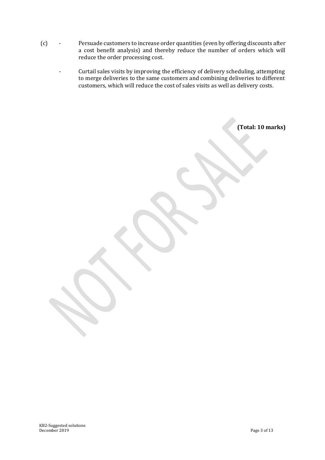- (c) Persuade customers to increase order quantities (even by offering discounts after a cost benefit analysis) and thereby reduce the number of orders which will reduce the order processing cost.
	- Curtail sales visits by improving the efficiency of delivery scheduling, attempting to merge deliveries to the same customers and combining deliveries to different customers, which will reduce the cost of sales visits as well as delivery costs.

**(Total: 10 marks)**

KB2-Suggested solutions December 2019 Page 3 of 13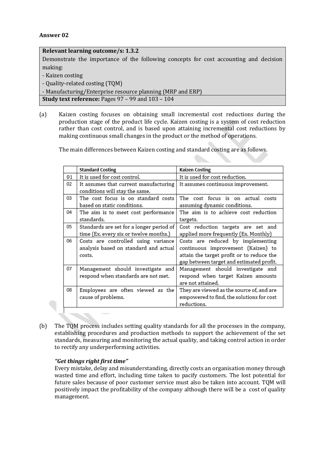| Relevant learning outcome/s: 1.3.2                                                    |
|---------------------------------------------------------------------------------------|
| Demonstrate the importance of the following concepts for cost accounting and decision |
| making:                                                                               |
| - Kaizen costing                                                                      |
| - Quality-related costing (TQM)                                                       |
| - Manufacturing/Enterprise resource planning (MRP and ERP)                            |
| <b>Study text reference:</b> Pages $97 - 99$ and $103 - 104$                          |

(a) Kaizen costing focuses on obtaining small incremental cost reductions during the production stage of the product life cycle. Kaizen costing is a system of cost reduction rather than cost control, and is based upon attaining incremental cost reductions by making continuous small changes in the product or the method of operations.

The main differences between Kaizen costing and standard costing are as follows.

|    | <b>Standard Costing</b>                  | Kaizen Costing                            |
|----|------------------------------------------|-------------------------------------------|
| 01 | It is used for cost control.             | It is used for cost reduction.            |
| 02 | It assumes that current manufacturing    | It assumes continuous improvement.        |
|    | conditions will stay the same.           |                                           |
| 03 | The cost focus is on standard costs      | The cost focus is on actual costs         |
|    | based on static conditions.              | assuming dynamic conditions.              |
| 04 | The aim is to meet cost performance      | The aim is to achieve cost reduction      |
|    | standards.                               | targets.                                  |
| 05 | Standards are set for a longer period of | Cost reduction targets are set and        |
|    | time (Ex. every six or twelve months.)   | applied more frequently (Ex. Monthly)     |
| 06 | Costs are controlled using variance      | Costs are reduced by implementing         |
|    | analysis based on standard and actual    | continuous improvement (Kaizen) to        |
|    | costs.                                   | attain the target profit or to reduce the |
|    |                                          | gap between target and estimated profit.  |
| 07 | Management should investigate and        | Management should investigate and         |
|    | respond when standards are not met.      | respond when target Kaizen amounts        |
|    |                                          | are not attained.                         |
| 08 | Employees are often viewed as the        | They are viewed as the source of, and are |
|    | cause of problems.                       | empowered to find, the solutions for cost |
|    |                                          | reductions.                               |

(b) The TQM process includes setting quality standards for all the processes in the company, establishing procedures and production methods to support the achievement of the set standards, measuring and monitoring the actual quality, and taking control action in order to rectify any underperforming activities.

#### *"Get things right first time"*

Every mistake, delay and misunderstanding, directly costs an organisation money through wasted time and effort, including time taken to pacify customers. The lost potential for future sales because of poor customer service must also be taken into account. TQM will positively impact the profitability of the company although there will be a cost of quality management.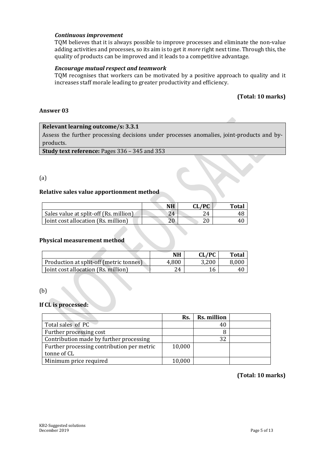#### *Continuous improvement*

TQM believes that it is always possible to improve processes and eliminate the non-value adding activities and processes, so its aim is to get it *more* right next time. Through this, the quality of products can be improved and it leads to a competitive advantage.

#### *Encourage mutual respect and teamwork*

TQM recognises that workers can be motivated by a positive approach to quality and it increases staff morale leading to greater productivity and efficiency.

#### **(Total: 10 marks)**

#### **Answer 03**

#### **Relevant learning outcome/s: 3.3.1**

Assess the further processing decisions under processes anomalies, joint-products and byproducts.

**Study text reference:** Pages 336 – 345 and 353

#### (a)

#### **Relative sales value apportionment method**

|                                        | NΗ | CL/PC | Total |
|----------------------------------------|----|-------|-------|
| Sales value at split-off (Rs. million) | 24 | 24    |       |
| [oint cost allocation (Rs. million)    |    |       |       |

#### **Physical measurement method**

|                                         | NΗ    | CL/PC | <b>Total</b> |
|-----------------------------------------|-------|-------|--------------|
| Production at split-off (metric tonnes) | 4,800 | 3,200 | 8,000        |
| [oint cost allocation (Rs. million)     | 24    |       | 41           |

#### (b)

#### **If CL is processed:**

|                                            | Rs.    | <b>Rs. million</b> |  |
|--------------------------------------------|--------|--------------------|--|
| Total sales of PC                          |        | 40                 |  |
| Further processing cost                    |        |                    |  |
| Contribution made by further processing    |        | 32                 |  |
| Further processing contribution per metric | 10,000 |                    |  |
| tonne of CL                                |        |                    |  |
| Minimum price required                     | 10,000 |                    |  |

 **(Total: 10 marks)**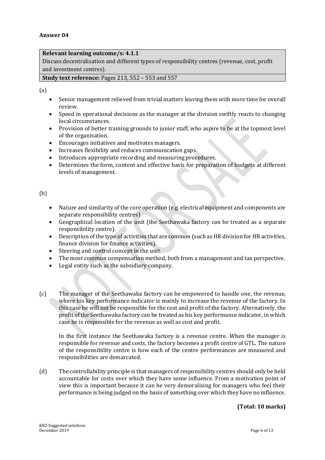#### **Relevant learning outcome/s: 4.1.1**

Discuss decentralisation and different types of responsibility centres (revenue, cost, profit and investment centres).

#### **Study text reference:** Pages 213, 552 – 553 and 557

(a)

- Senior management relieved from trivial matters leaving them with more time for overall review.
- Speed in operational decisions as the manager at the division swiftly reacts to changing local circumstances.
- Provision of better training grounds to junior staff, who aspire to be at the topmost level of the organisation.
- Encourages initiatives and motivates managers.
- Increases flexibility and reduces communication gaps.
- Introduces appropriate recording and measuring procedures.
- Determines the form, content and effective basis for preparation of budgets at different levels of management.

#### (b)

- Nature and similarity of the core operation (e.g. electrical equipment and components are separate responsibility centres)
- Geographical location of the unit (the Seethawaka factory can be treated as a separate responsibility centre).
- Description of the type of activities that are common (such as HR division for HR activities, finance division for finance activities).
- Steering and control concept in the unit.
- The most common compensation method, both from a management and tax perspective.
- Legal entity such as the subsidiary company.
- (c) The manager of the Seethawaka factory can be empowered to handle one, the revenue, where his key performance indicator is mainly to increase the revenue of the factory. In this case he will not be responsible for the cost and profit of the factory. Alternatively, the profit of the Seethawaka factory can be treated as his key performance indicator, in which case he is responsible for the revenue as well as cost and profit.

In the first instance the Seethawaka factory is a revenue centre. When the manager is responsible for revenue and costs, the factory becomes a profit centre of GTL. The nature of the responsibility centre is how each of the centre performances are measured and responsibilities are demarcated.

(d) The controllability principle is that managers of responsibility centres should only be held accountable for costs over which they have some influence. From a motivation point of view this is important because it can be very demoralising for managers who feel their performance is being judged on the basis of something over which they have no influence.

#### **(Total: 10 marks)**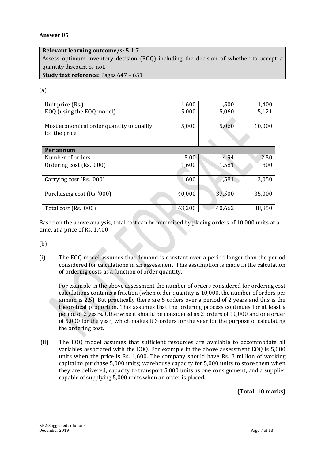#### **Relevant learning outcome/s: 5.1.7**

Assess optimum inventory decision (EOQ) including the decision of whether to accept a quantity discount or not.

**Study text reference:** Pages 647 – 651

#### (a)

| Unit price (Rs.)                          | 1,600  | 1,500  | 1,400  |
|-------------------------------------------|--------|--------|--------|
| EOQ (using the EOQ model)                 | 5,000  | 5,060  | 5,121  |
|                                           |        |        |        |
| Most economical order quantity to qualify | 5,000  | 5,060  | 10,000 |
| for the price                             |        |        |        |
|                                           |        |        |        |
| Per annum                                 |        |        |        |
| Number of orders                          | 5.00   | 4.94   | 2.50   |
| Ordering cost (Rs. '000)                  | 1,600  | 1,581  | 800    |
|                                           |        |        |        |
| Carrying cost (Rs. '000)                  | 1,600  | 1,581  | 3,050  |
|                                           |        |        |        |
| Purchasing cost (Rs. '000)                | 40,000 | 37,500 | 35,000 |
|                                           |        |        |        |
| Total cost (Rs. '000)                     | 43,200 | 40,662 | 38,850 |

Based on the above analysis, total cost can be minimised by placing orders of 10,000 units at a time, at a price of Rs. 1,400

(b)

(i) The EOQ model assumes that demand is constant over a period longer than the period considered for calculations in an assessment. This assumption is made in the calculation of ordering costs as a function of order quantity.

For example in the above assessment the number of orders considered for ordering cost calculations contains a fraction (when order quantity is 10,000, the number of orders per annum is 2.5). But practically there are 5 orders over a period of 2 years and this is the theoretical proportion. This assumes that the ordering process continues for at least a period of 2 years. Otherwise it should be considered as 2 orders of 10,000 and one order of 5,000 for the year, which makes it 3 orders for the year for the purpose of calculating the ordering cost.

(ii) The EOQ model assumes that sufficient resources are available to accommodate all variables associated with the EOQ. For example in the above assessment EOQ is 5,000 units when the price is Rs. 1,600. The company should have Rs. 8 million of working capital to purchase 5,000 units; warehouse capacity for 5,000 units to store them when they are delivered; capacity to transport 5,000 units as one consignment; and a supplier capable of supplying 5,000 units when an order is placed.

**(Total: 10 marks)**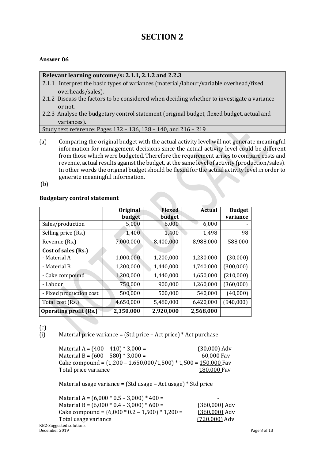# **SECTION 2**

#### **Answer 06**

#### **Relevant learning outcome/s: 2.1.1, 2.1.2 and 2.2.3**

- 2.1.1 Interpret the basic types of variances (material/labour/variable overhead/fixed overheads/sales).
- 2.1.2 Discuss the factors to be considered when deciding whether to investigate a variance or not.
- 2.2.3 Analyse the budgetary control statement (original budget, flexed budget, actual and variances).

Study text reference: Pages 132 – 136, 138 – 140, and 216 – 219

(a) Comparing the original budget with the actual activity level will not generate meaningful information for management decisions since the actual activity level could be different from those which were budgeted. Therefore the requirement arises to compare costs and revenue, actual results against the budget, at the same level of activity (production/sales). In other words the original budget should be flexed for the actual activity level in order to generate meaningful information.

(b)

#### **Budgetary control statement**

|                               | Original<br>budget | Flexed<br>budget | <b>Actual</b> | <b>Budget</b><br>variance |
|-------------------------------|--------------------|------------------|---------------|---------------------------|
| Sales/production              | 5,000              | 6,000            | 6,000         |                           |
| Selling price (Rs.)           | 1,400              | 1,400            | 1,498         | 98                        |
| Revenue (Rs.)                 | 7,000,000          | 8,400,000        | 8,988,000     | 588,000                   |
| Cost of sales (Rs.)           |                    |                  |               |                           |
| - Material A                  | 1,000,000          | 1,200,000        | 1,230,000     | (30,000)                  |
| - Material B                  | 1,200,000          | 1,440,000        | 1,740,000     | (300,000)                 |
| - Cake compound               | 1,200,000          | 1,440,000        | 1,650,000     | (210,000)                 |
| - Labour                      | 750,000            | 900,000          | 1,260,000     | (360,000)                 |
| - Fixed production cost       | 500,000            | 500,000          | 540,000       | (40,000)                  |
| Total cost (Rs.)              | 4,650,000          | 5,480,000        | 6,420,000     | (940,000)                 |
| <b>Operating profit (Rs.)</b> | 2,350,000          | 2,920,000        | 2,568,000     |                           |

(c)

#### (i) Material price variance = (Std price – Act price) \* Act purchase

Material A =  $(400 - 410) * 3,000 =$  (30,000) Adv Material B =  $(600 - 580) * 3,000 = 60,000$  Fav Cake compound =  $(1,200 - 1,650,000/1,500) * 1,500 = 150,000$  Fav Total price variance 180,000 Fav

Material usage variance = (Std usage – Act usage) \* Std price

| Material A = $(6,000 * 0.5 - 3,000) * 400 =$      | -               |              |
|---------------------------------------------------|-----------------|--------------|
| Material B = $(6,000 * 0.4 - 3,000) * 600 =$      | $(360,000)$ Adv |              |
| Cake compound = $(6,000 * 0.2 - 1,500) * 1,200 =$ | $(360,000)$ Adv |              |
| Total usage variance                              | $(720,000)$ Adv |              |
| KB2-Suggested solutions                           |                 |              |
| December 2019                                     |                 | Page 8 of 13 |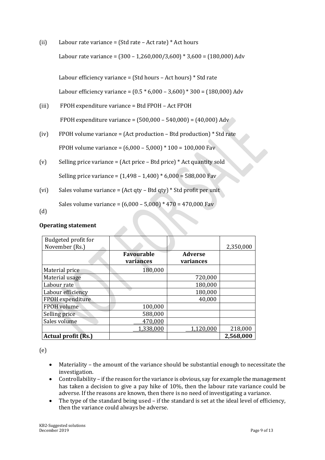(ii) Labour rate variance = (Std rate – Act rate) \* Act hours Labour rate variance =  $(300 - 1,260,000/3,600) * 3,600 = (180,000)$  Adv

Labour efficiency variance = (Std hours – Act hours) \* Std rate

Labour efficiency variance =  $(0.5 * 6,000 - 3,600) * 300 = (180,000)$  Adv

- (iii) FPOH expenditure variance = Btd FPOH Act FPOH FPOH expenditure variance =  $(500,000 - 540,000) = (40,000)$  Adv
- (iv) FPOH volume variance = (Act production Btd production) \* Std rate FPOH volume variance = (6,000 – 5,000) \* 100 = 100,000 Fav
- (v) Selling price variance = (Act price Btd price)  $*$  Act quantity sold Selling price variance = (1,498 – 1,400) \* 6,000 = 588,000 Fav
- (vi) Sales volume variance = (Act qty Btd qty) \* Std profit per unit

Sales volume variance = (6,000 – 5,000) \* 470 = 470,000 Fav

(d)

#### **Operating statement**

| Budgeted profit for<br>November (Rs.) |                                |                             | 2,350,000 |
|---------------------------------------|--------------------------------|-----------------------------|-----------|
|                                       | <b>Favourable</b><br>variances | <b>Adverse</b><br>variances |           |
| Material price                        | 180,000                        |                             |           |
| Material usage                        |                                | 720,000                     |           |
| Labour rate                           |                                | 180,000                     |           |
| Labour efficiency                     |                                | 180,000                     |           |
| <b>FPOH</b> expenditure               |                                | 40,000                      |           |
| FPOH volume                           | 100,000                        |                             |           |
| Selling price                         | 588,000                        |                             |           |
| Sales volume                          | 470,000                        |                             |           |
|                                       | 1,338,000                      | 1,120,000                   | 218,000   |
| <b>Actual profit (Rs.)</b>            |                                |                             | 2,568,000 |

(e)

- Materiality the amount of the variance should be substantial enough to necessitate the investigation.
- Controllability if the reason for the variance is obvious, say for example the management has taken a decision to give a pay hike of 10%, then the labour rate variance could be adverse. If the reasons are known, then there is no need of investigating a variance.
- The type of the standard being used if the standard is set at the ideal level of efficiency, then the variance could always be adverse.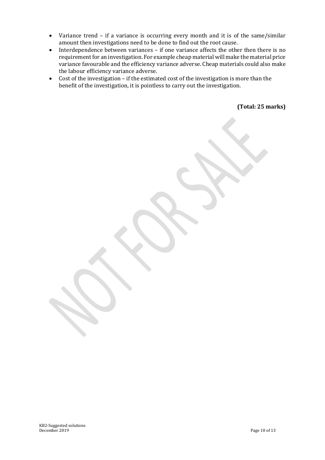- Variance trend if a variance is occurring every month and it is of the same/similar amount then investigations need to be done to find out the root cause.
- Interdependence between variances if one variance affects the other then there is no requirement for an investigation. For example cheap material will make the material price variance favourable and the efficiency variance adverse. Cheap materials could also make the labour efficiency variance adverse.
- Cost of the investigation if the estimated cost of the investigation is more than the benefit of the investigation, it is pointless to carry out the investigation.

**(Total: 25 marks)**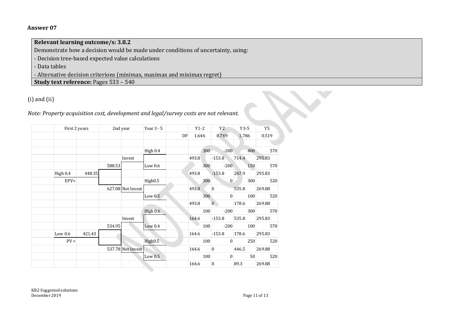**Relevant learning outcome/s: 3.8.2** Demonstrate how a decision would be made under conditions of uncertainty, using: - Decision tree-based expected value calculations - Data tables - Alternative decision criterions (minimax, maximax and minimax regret) **Study text reference:** Pages 533 – 540

## (i) and (ii)

| First 2 years |        | 2nd year |                   | Year $3 - 5$        |    | $Y1-2$ |     | Y2                 | $Y3-5$       | Y5            |
|---------------|--------|----------|-------------------|---------------------|----|--------|-----|--------------------|--------------|---------------|
|               |        |          |                   |                     | DF | 1.646  |     | 0.769              | 1.786        | 0.519         |
|               |        |          |                   |                     |    |        |     |                    |              |               |
|               |        |          |                   | High 0.4            |    | 493.8  | 300 | $-200$             | 400<br>714.4 | 570<br>295.83 |
|               |        | 588.53   | Invest            | Low $0.6$           |    |        | 300 | $-153.8$<br>$-200$ | 150          | 570           |
| High 0.4      | 448.35 |          |                   |                     |    | 493.8  |     | $-153.8$           | 267.9        | 295.83        |
| $EPV=$        |        |          |                   | High <sub>0.5</sub> |    |        | 300 | $\theta$           | 300          | 520           |
|               |        |          | 627.08 Not Invest |                     |    | 493.8  |     | $\mathbf{0}$       | 535.8        | 269.88        |
|               |        |          |                   | Low $0.5$           |    |        | 300 | $\mathbf{0}$       | 100          | 520           |
|               |        |          |                   |                     |    | 493.8  |     | $\overline{0}$     | 178.6        | 269.88        |
|               |        |          |                   | High 0.6            |    |        | 100 | $-200$             | 300          | 570           |
|               |        |          | Invest            |                     |    | 164.6  |     | $-153.8$           | 535.8        | 295.83        |
|               |        | 534.95   |                   | Low $0.4$           |    |        | 100 | $-200$             | 100          | 570           |
| Low $0.6$     | 421.43 |          |                   |                     |    | 164.6  |     | $-153.8$           | 178.6        | 295.83        |
| $PV =$        |        |          |                   | High <sub>0.5</sub> |    |        | 100 | $\theta$           | 250          | 520           |
|               |        |          | 537.78 Not Invest |                     |    | 164.6  |     | $\theta$           | 446.5        | 269.88        |
|               |        |          |                   | Low $0.5$           |    |        | 100 | $\mathbf{0}$       | 50           | 520           |
|               |        |          |                   |                     |    | 164.6  |     | $\overline{0}$     | 89.3         | 269.88        |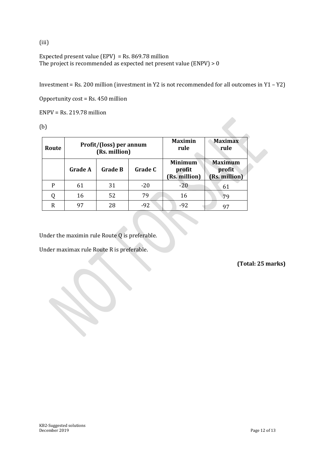(iii)

Expected present value (EPV) = Rs. 869.78 million The project is recommended as expected net present value (ENPV) > 0

Investment = Rs. 200 million (investment in Y2 is not recommended for all outcomes in Y1 – Y2)

Opportunity cost = Rs. 450 million

ENPV = Rs. 219.78 million

(b)

| Route |                | Profit/(loss) per annum<br>(Rs. million) |         | <b>Maximin</b><br>rule                    | <b>Maximax</b><br>rule                    |  |  |
|-------|----------------|------------------------------------------|---------|-------------------------------------------|-------------------------------------------|--|--|
|       | <b>Grade A</b> | <b>Grade B</b>                           | Grade C | <b>Minimum</b><br>profit<br>(Rs. million) | <b>Maximum</b><br>profit<br>(Rs. million) |  |  |
| P     | 61             | 31                                       | $-20$   | $-20$                                     | 61                                        |  |  |
|       | 16             | 52                                       | 79      | 16                                        | 79                                        |  |  |
| R     | 97             | 28                                       | $-92$   | $-92$                                     | 97                                        |  |  |

Under the maximin rule Route Q is preferable.

Under maximax rule Route R is preferable.

**(Total: 25 marks)**